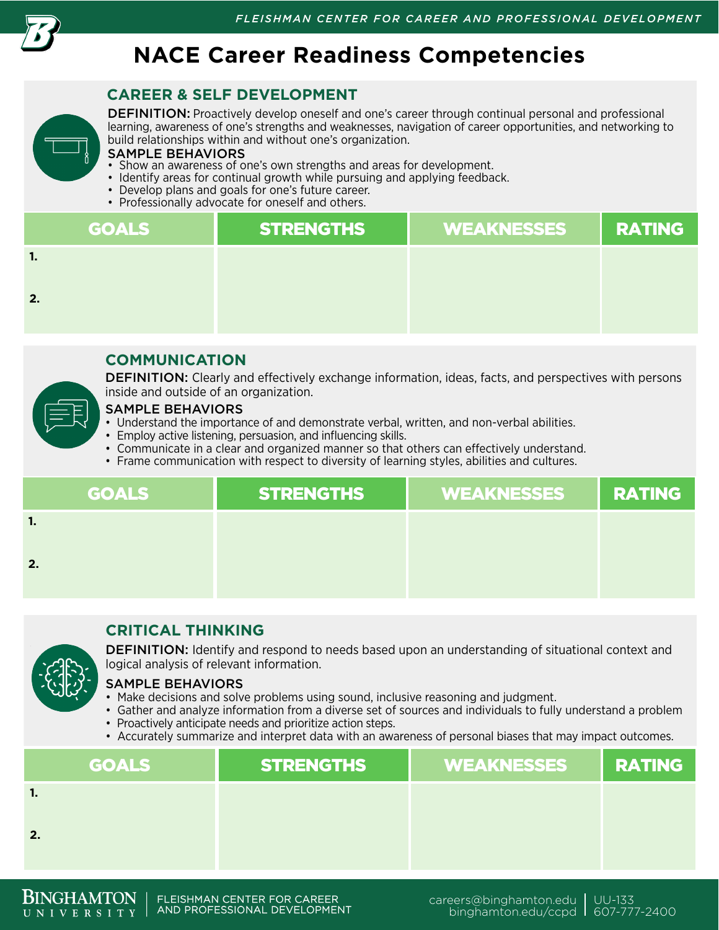

# **NACE Career Readiness Competencies**

# **CAREER & SELF DEVELOPMENT**

DEFINITION: Proactively develop oneself and one's career through continual personal and professional learning, awareness of one's strengths and weaknesses, navigation of career opportunities, and networking to build relationships within and without one's organization.

#### SAMPLE BEHAVIORS

- Show an awareness of one's own strengths and areas for development.
- Identify areas for continual growth while pursuing and applying feedback.
- Develop plans and goals for one's future career.
- Professionally advocate for oneself and others.

| <b>GOALS</b> | <b>STRENGTHS</b> | <b>WEAKNESSES</b> | <b>RATING</b> |
|--------------|------------------|-------------------|---------------|
| -1.          |                  |                   |               |
| 2.           |                  |                   |               |
|              |                  |                   |               |

## **COMMUNICATION**

**DEFINITION:** Clearly and effectively exchange information, ideas, facts, and perspectives with persons inside and outside of an organization.

### SAMPLE BEHAVIORS

- Understand the importance of and demonstrate verbal, written, and non-verbal abilities.
- Employ active listening, persuasion, and influencing skills.
- Communicate in a clear and organized manner so that others can effectively understand.
- Frame communication with respect to diversity of learning styles, abilities and cultures.

| <b>GOALS</b> | <b>STRENGTHS</b> | WEAKNESSES | <b>RATING</b> |
|--------------|------------------|------------|---------------|
| v.           |                  |            |               |
| 2.           |                  |            |               |

## **CRITICAL THINKING**



**DEFINITION:** Identify and respond to needs based upon an understanding of situational context and logical analysis of relevant information.

#### SAMPLE BEHAVIORS

- Make decisions and solve problems using sound, inclusive reasoning and judgment.
- Gather and analyze information from a diverse set of sources and individuals to fully understand a problem • Proactively anticipate needs and prioritize action steps.
- Accurately summarize and interpret data with an awareness of personal biases that may impact outcomes.

| <b>GOALS</b> | <b>STRENGTHS</b> | <b>WEAKNESSES</b> | <b>RATING</b> |
|--------------|------------------|-------------------|---------------|
| - 1.         |                  |                   |               |
| 2.           |                  |                   |               |
|              |                  |                   |               |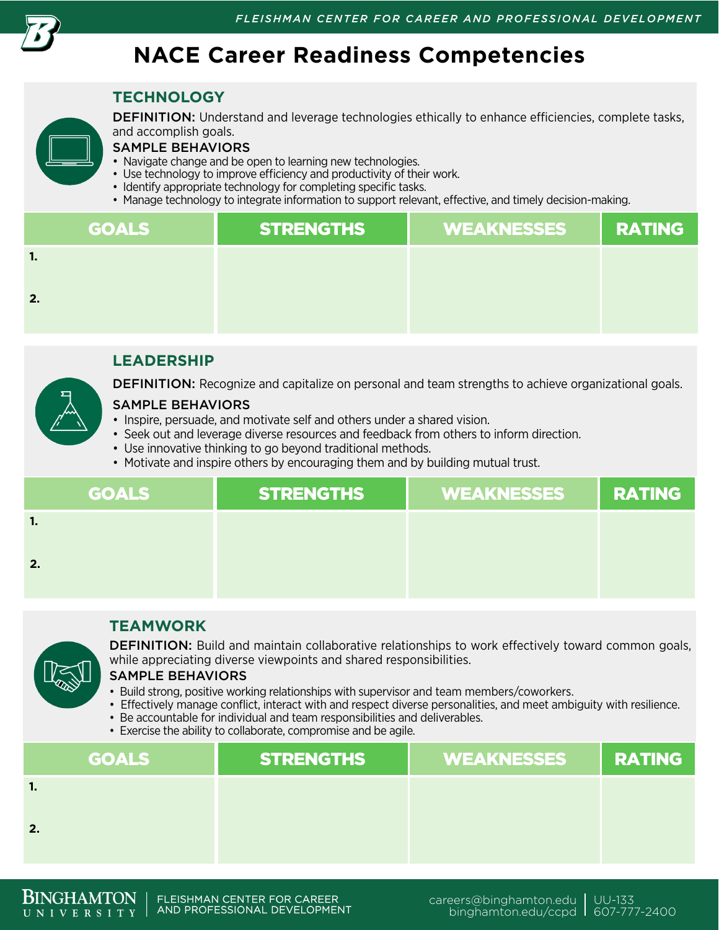

# **NACE Career Readiness Competencies**

## **TECHNOLOGY**



DEFINITION: Understand and leverage technologies ethically to enhance efficiencies, complete tasks, and accomplish goals.

### SAMPLE BEHAVIORS

- Navigate change and be open to learning new technologies.
- Use technology to improve efficiency and productivity of their work.
- Identify appropriate technology for completing specific tasks.
- Manage technology to integrate information to support relevant, effective, and timely decision-making.

| <b>GOALS</b> | <b>STRENGTHS</b> | <b>WEAKNESSES</b> | <b>RATING</b> |
|--------------|------------------|-------------------|---------------|
| п.           |                  |                   |               |
| 2.           |                  |                   |               |
|              |                  |                   |               |

## **LEADERSHIP**



#### SAMPLE BEHAVIORS

- Inspire, persuade, and motivate self and others under a shared vision.
- Seek out and leverage diverse resources and feedback from others to inform direction.
- Use innovative thinking to go beyond traditional methods.
- Motivate and inspire others by encouraging them and by building mutual trust.

| <b>GOALS</b>   | <b>STRENGTHS</b> | WEAKNESSES | <b>RATING</b> |
|----------------|------------------|------------|---------------|
| $\blacksquare$ |                  |            |               |
| 2.             |                  |            |               |
|                |                  |            |               |

## **TEAMWORK**

DEFINITION: Build and maintain collaborative relationships to work effectively toward common goals, while appreciating diverse viewpoints and shared responsibilities.

#### SAMPLE BEHAVIORS

- Build strong, positive working relationships with supervisor and team members/coworkers.
- Effectively manage conflict, interact with and respect diverse personalities, and meet ambiguity with resilience.
- Be accountable for individual and team responsibilities and deliverables.
- Exercise the ability to collaborate, compromise and be agile.

| <b>GOALS</b> | STRENGTHS | <b>WEAKNESSES</b> | <b>RATING</b> |
|--------------|-----------|-------------------|---------------|
| 1.           |           |                   |               |
| 2.           |           |                   |               |
|              |           |                   |               |